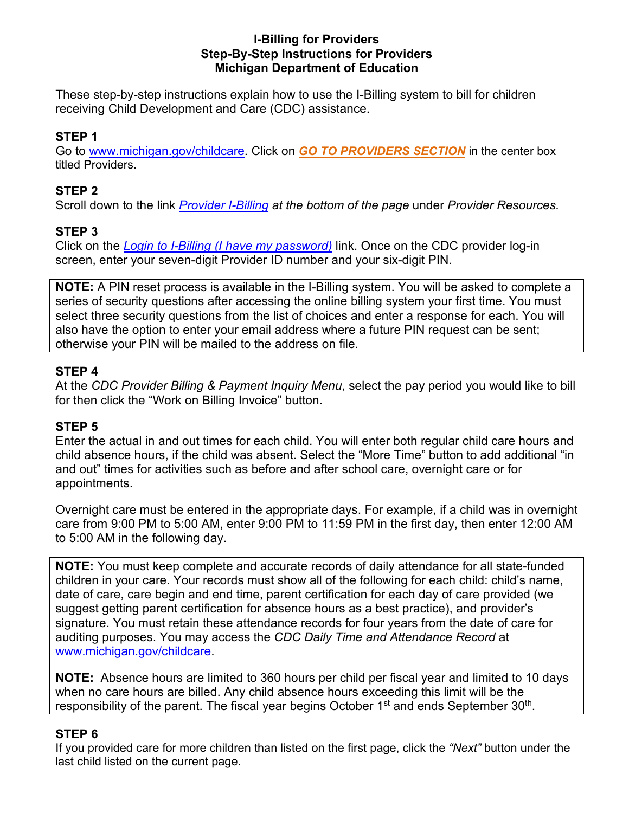#### **I-Billing for Providers Step-By-Step Instructions for Providers Michigan Department of Education**

These step-by-step instructions explain how to use the I-Billing system to bill for children receiving Child Development and Care (CDC) assistance.

## **STEP 1**

Go to [www.michigan.gov/childcare.](http://www.michigan.gov/mde/0,4615,7-140-63533_63534---,00.html) Click on *[GO TO PROVIDERS SECTION](http://www.michigan.gov/mde/0,4615,7-140-63533_63534_72649---,00.html)* in the center box titled Providers.

### **STEP 2**

Scroll down to the link *[Provider I-Billing](http://www.michigan.gov/mde/0,4615,7-140-63533_63534_72649-291400--,00.html) at the bottom of the page* under *Provider Resources.*

## **STEP 3**

Click on the *[Login to I-Billing \(I have my password\)](https://mdhhs.michigan.gov/ibilling-provider/)* link. Once on the CDC provider log-in screen, enter your seven-digit Provider ID number and your six-digit PIN.

**NOTE:** A PIN reset process is available in the I-Billing system. You will be asked to complete a series of security questions after accessing the online billing system your first time. You must select three security questions from the list of choices and enter a response for each. You will also have the option to enter your email address where a future PIN request can be sent; otherwise your PIN will be mailed to the address on file.

#### **STEP 4**

At the *CDC Provider Billing & Payment Inquiry Menu*, select the pay period you would like to bill for then click the "Work on Billing Invoice" button.

#### **STEP 5**

Enter the actual in and out times for each child. You will enter both regular child care hours and child absence hours, if the child was absent. Select the "More Time" button to add additional "in and out" times for activities such as before and after school care, overnight care or for appointments.

Overnight care must be entered in the appropriate days. For example, if a child was in overnight care from 9:00 PM to 5:00 AM, enter 9:00 PM to 11:59 PM in the first day, then enter 12:00 AM to 5:00 AM in the following day.

**NOTE:** You must keep complete and accurate records of daily attendance for all state-funded children in your care. Your records must show all of the following for each child: child's name, date of care, care begin and end time, parent certification for each day of care provided (we suggest getting parent certification for absence hours as a best practice), and provider's signature. You must retain these attendance records for four years from the date of care for auditing purposes. You may access the *CDC Daily Time and Attendance Record* at [www.michigan.gov/childcare.](http://www.michigan.gov/documents/mde/CDC_Daily_Time_and_Attendance_Record_1.2017_545655_7.pdf)

**NOTE:** Absence hours are limited to 360 hours per child per fiscal year and limited to 10 days when no care hours are billed. Any child absence hours exceeding this limit will be the responsibility of the parent. The fiscal year begins October 1<sup>st</sup> and ends September 30<sup>th</sup>.

#### **STEP 6**

If you provided care for more children than listed on the first page, click the *"Next"* button under the last child listed on the current page.